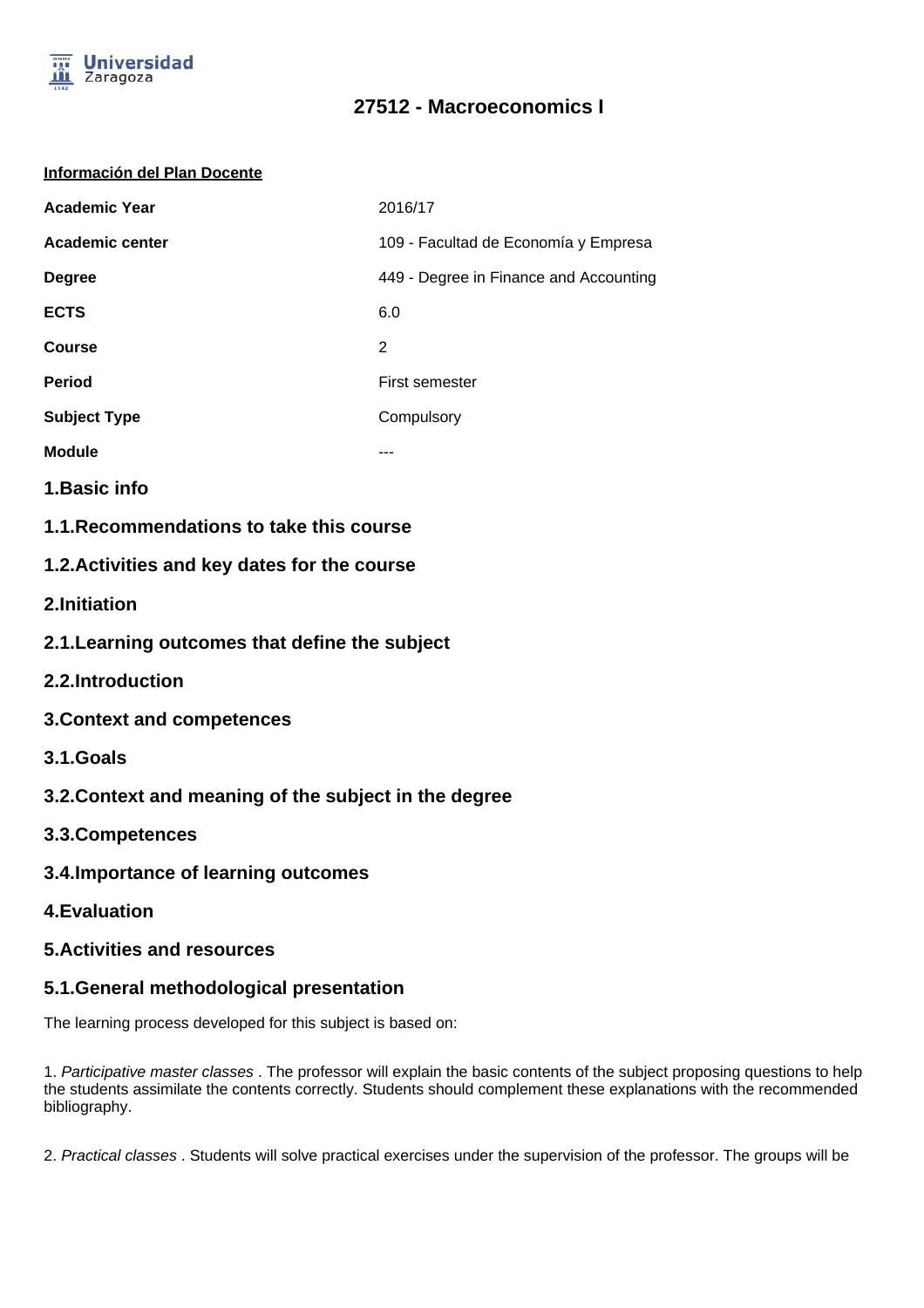

#### **Información del Plan Docente**

| <b>Academic Year</b> | 2016/17                                |  |
|----------------------|----------------------------------------|--|
| Academic center      | 109 - Facultad de Economía y Empresa   |  |
| <b>Degree</b>        | 449 - Degree in Finance and Accounting |  |
| <b>ECTS</b>          | 6.0                                    |  |
| Course               | 2                                      |  |
| <b>Period</b>        | First semester                         |  |
| <b>Subject Type</b>  | Compulsory                             |  |
| <b>Module</b>        |                                        |  |

- **1.Basic info**
- **1.1.Recommendations to take this course**

### **1.2.Activities and key dates for the course**

- **2.Initiation**
- **2.1.Learning outcomes that define the subject**
- **2.2.Introduction**
- **3.Context and competences**
- **3.1.Goals**
- **3.2.Context and meaning of the subject in the degree**
- **3.3.Competences**
- **3.4.Importance of learning outcomes**
- **4.Evaluation**

#### **5.Activities and resources**

### **5.1.General methodological presentation**

The learning process developed for this subject is based on:

1. Participative master classes . The professor will explain the basic contents of the subject proposing questions to help the students assimilate the contents correctly. Students should complement these explanations with the recommended bibliography.

2. Practical classes . Students will solve practical exercises under the supervision of the professor. The groups will be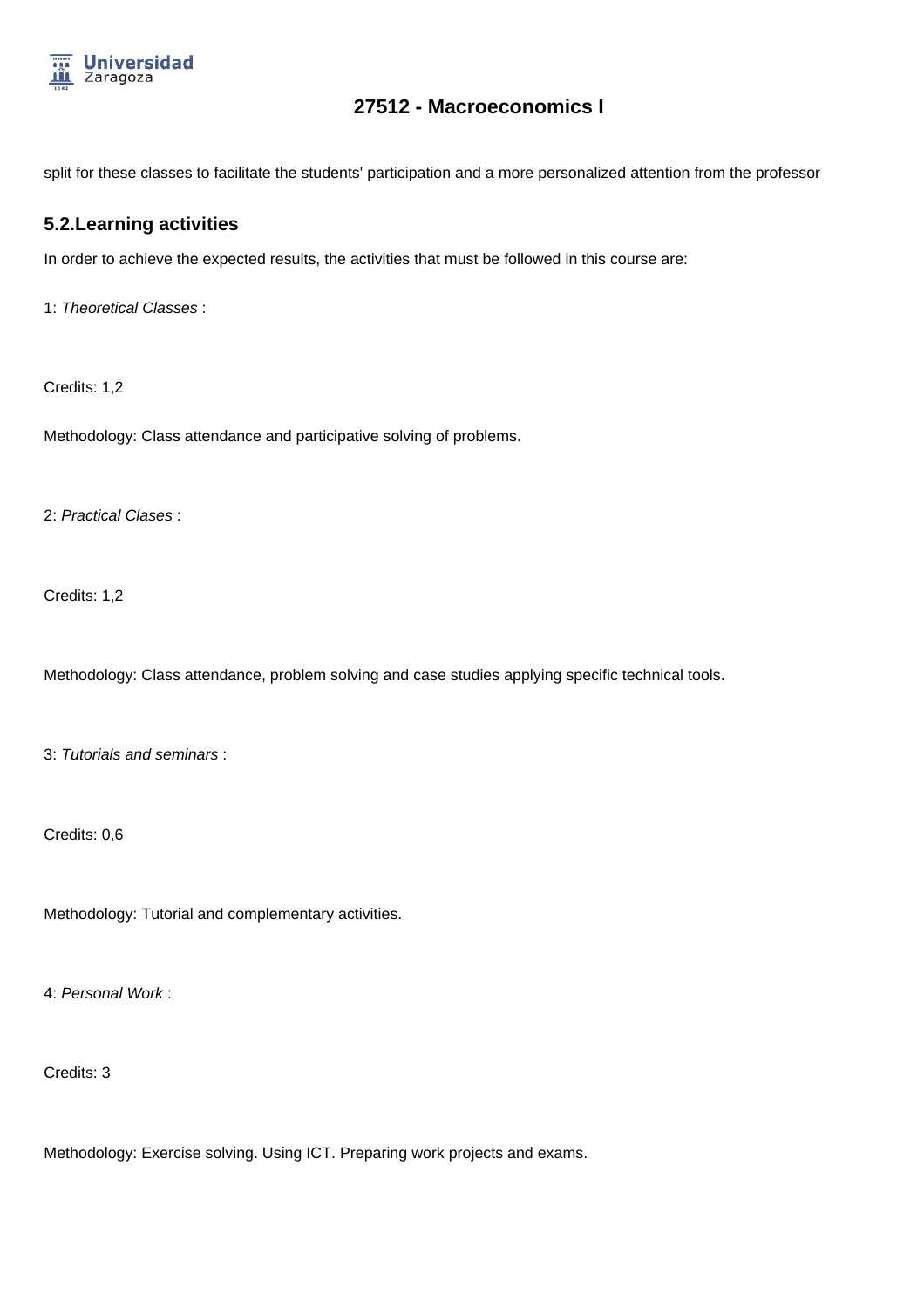

split for these classes to facilitate the students' participation and a more personalized attention from the professor

#### **5.2.Learning activities**

In order to achieve the expected results, the activities that must be followed in this course are:

1: Theoretical Classes :

Credits: 1,2

Methodology: Class attendance and participative solving of problems.

2: Practical Clases :

Credits: 1,2

Methodology: Class attendance, problem solving and case studies applying specific technical tools.

3: Tutorials and seminars :

Credits: 0,6

Methodology: Tutorial and complementary activities.

4: Personal Work :

Credits: 3

Methodology: Exercise solving. Using ICT. Preparing work projects and exams.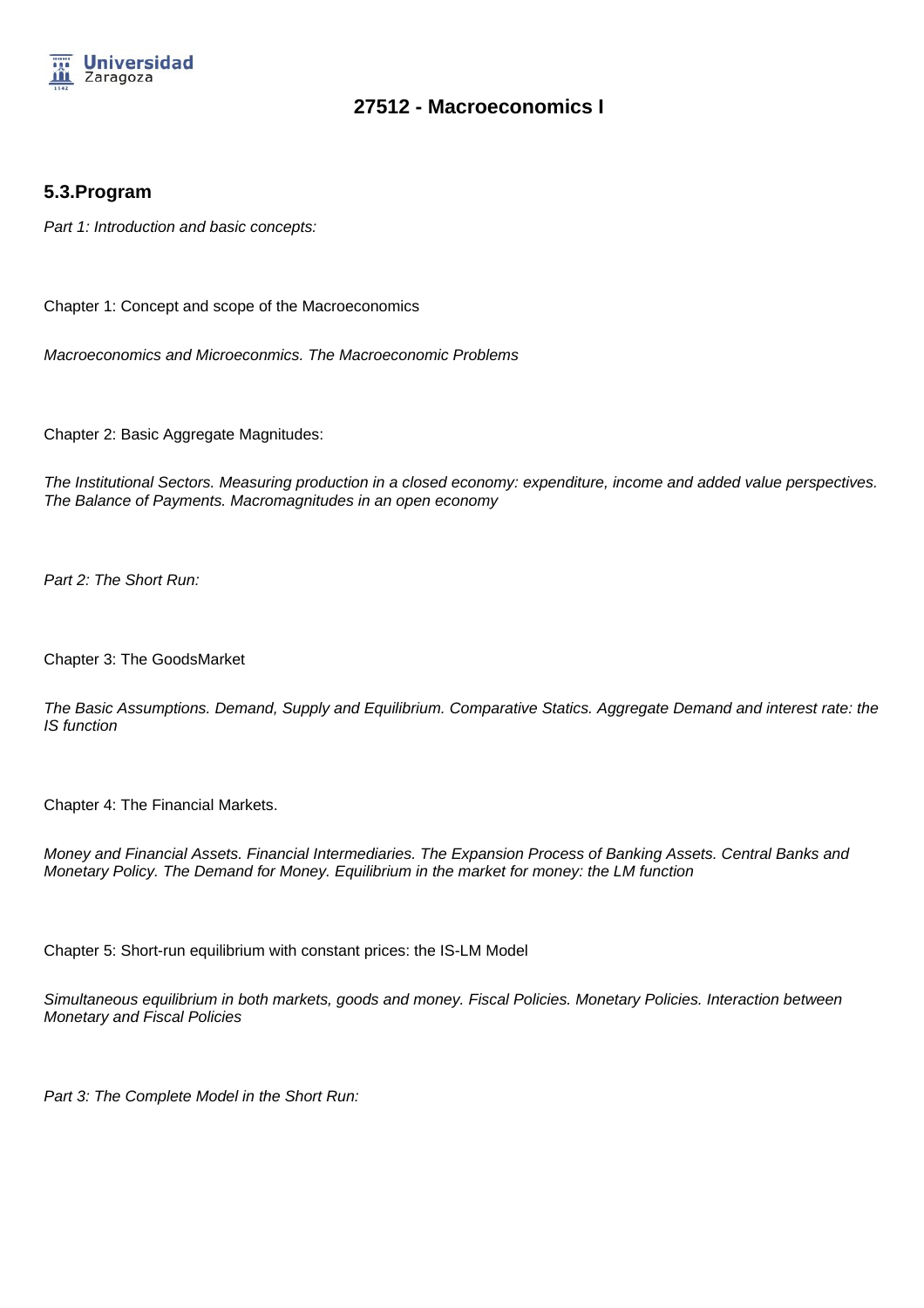

### **5.3.Program**

Part 1: Introduction and basic concepts:

Chapter 1: Concept and scope of the Macroeconomics

Macroeconomics and Microeconmics. The Macroeconomic Problems

Chapter 2: Basic Aggregate Magnitudes:

The Institutional Sectors. Measuring production in a closed economy: expenditure, income and added value perspectives. The Balance of Payments. Macromagnitudes in an open economy

Part 2: The Short Run:

Chapter 3: The GoodsMarket

The Basic Assumptions. Demand, Supply and Equilibrium. Comparative Statics. Aggregate Demand and interest rate: the IS function

Chapter 4: The Financial Markets.

Money and Financial Assets. Financial Intermediaries. The Expansion Process of Banking Assets. Central Banks and Monetary Policy. The Demand for Money. Equilibrium in the market for money: the LM function

Chapter 5: Short-run equilibrium with constant prices: the IS-LM Model

Simultaneous equilibrium in both markets, goods and money. Fiscal Policies. Monetary Policies. Interaction between Monetary and Fiscal Policies

Part 3: The Complete Model in the Short Run: